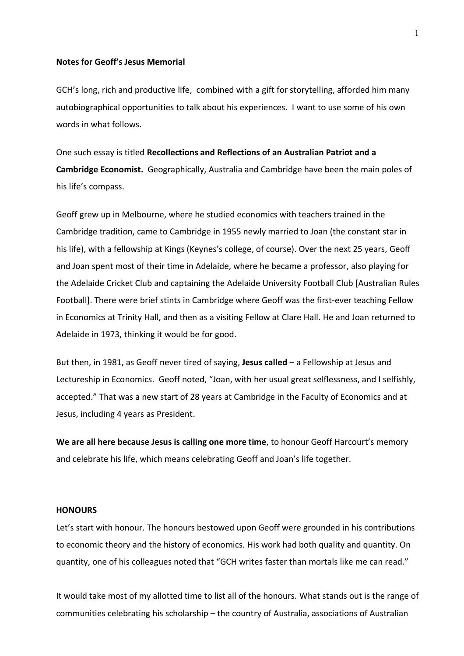## **Notes for Geoff's Jesus Memorial**

GCH's long, rich and productive life, combined with a gift for storytelling, afforded him many autobiographical opportunities to talk about his experiences. I want to use some of his own words in what follows.

One such essay is titled **Recollections and Reflections of an Australian Patriot and a Cambridge Economist.** Geographically, Australia and Cambridge have been the main poles of his life's compass.

Geoff grew up in Melbourne, where he studied economics with teachers trained in the Cambridge tradition, came to Cambridge in 1955 newly married to Joan (the constant star in his life), with a fellowship at Kings (Keynes's college, of course). Over the next 25 years, Geoff and Joan spent most of their time in Adelaide, where he became a professor, also playing for the Adelaide Cricket Club and captaining the Adelaide University Football Club [Australian Rules Football]. There were brief stints in Cambridge where Geoff was the first-ever teaching Fellow in Economics at Trinity Hall, and then as a visiting Fellow at Clare Hall. He and Joan returned to Adelaide in 1973, thinking it would be for good.

But then, in 1981, as Geoff never tired of saying, **Jesus called** – a Fellowship at Jesus and Lectureship in Economics. Geoff noted, "Joan, with her usual great selflessness, and I selfishly, accepted." That was a new start of 28 years at Cambridge in the Faculty of Economics and at Jesus, including 4 years as President.

**We are all here because Jesus is calling one more time**, to honour Geoff Harcourt's memory and celebrate his life, which means celebrating Geoff and Joan's life together.

## **HONOURS**

Let's start with honour. The honours bestowed upon Geoff were grounded in his contributions to economic theory and the history of economics. His work had both quality and quantity. On quantity, one of his colleagues noted that "GCH writes faster than mortals like me can read."

It would take most of my allotted time to list all of the honours. What stands out is the range of communities celebrating his scholarship – the country of Australia, associations of Australian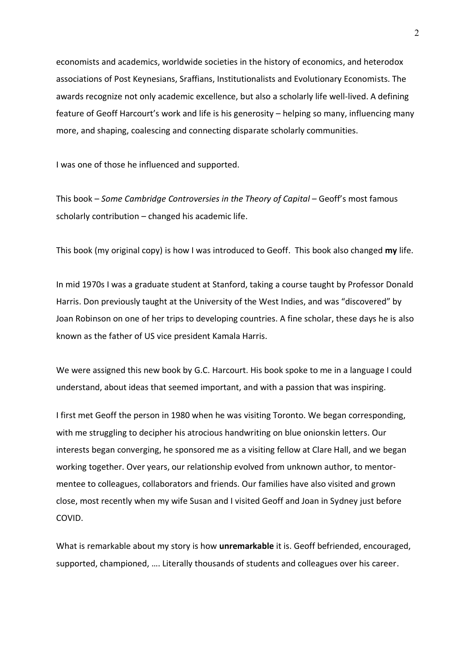economists and academics, worldwide societies in the history of economics, and heterodox associations of Post Keynesians, Sraffians, Institutionalists and Evolutionary Economists. The awards recognize not only academic excellence, but also a scholarly life well-lived. A defining feature of Geoff Harcourt's work and life is his generosity – helping so many, influencing many more, and shaping, coalescing and connecting disparate scholarly communities.

I was one of those he influenced and supported.

This book – *Some Cambridge Controversies in the Theory of Capital* – Geoff's most famous scholarly contribution – changed his academic life.

This book (my original copy) is how I was introduced to Geoff. This book also changed **my** life.

In mid 1970s I was a graduate student at Stanford, taking a course taught by Professor Donald Harris. Don previously taught at the University of the West Indies, and was "discovered" by Joan Robinson on one of her trips to developing countries. A fine scholar, these days he is also known as the father of US vice president Kamala Harris.

We were assigned this new book by G.C. Harcourt. His book spoke to me in a language I could understand, about ideas that seemed important, and with a passion that was inspiring.

I first met Geoff the person in 1980 when he was visiting Toronto. We began corresponding, with me struggling to decipher his atrocious handwriting on blue onionskin letters. Our interests began converging, he sponsored me as a visiting fellow at Clare Hall, and we began working together. Over years, our relationship evolved from unknown author, to mentormentee to colleagues, collaborators and friends. Our families have also visited and grown close, most recently when my wife Susan and I visited Geoff and Joan in Sydney just before COVID.

What is remarkable about my story is how **unremarkable** it is. Geoff befriended, encouraged, supported, championed, …. Literally thousands of students and colleagues over his career.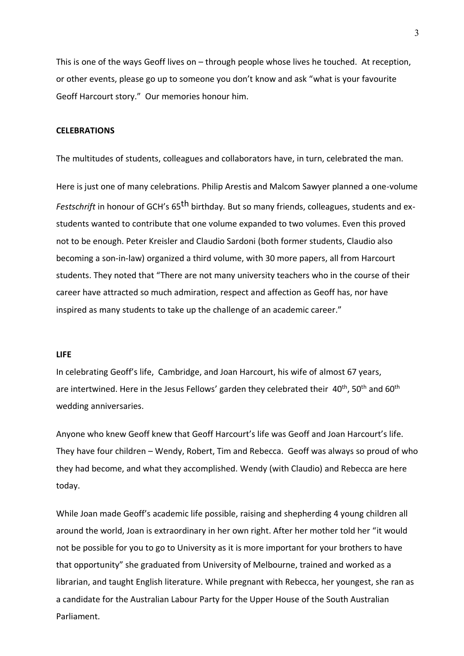This is one of the ways Geoff lives on – through people whose lives he touched. At reception, or other events, please go up to someone you don't know and ask "what is your favourite Geoff Harcourt story." Our memories honour him.

#### **CELEBRATIONS**

The multitudes of students, colleagues and collaborators have, in turn, celebrated the man.

Here is just one of many celebrations. Philip Arestis and Malcom Sawyer planned a one-volume *Festschrift* in honour of GCH's 65th birthday*.* But so many friends, colleagues, students and exstudents wanted to contribute that one volume expanded to two volumes. Even this proved not to be enough. Peter Kreisler and Claudio Sardoni (both former students, Claudio also becoming a son-in-law) organized a third volume, with 30 more papers, all from Harcourt students. They noted that "There are not many university teachers who in the course of their career have attracted so much admiration, respect and affection as Geoff has, nor have inspired as many students to take up the challenge of an academic career."

## **LIFE**

In celebrating Geoff's life, Cambridge, and Joan Harcourt, his wife of almost 67 years, are intertwined. Here in the Jesus Fellows' garden they celebrated their  $40^{th}$ , 50<sup>th</sup> and 60<sup>th</sup> wedding anniversaries.

Anyone who knew Geoff knew that Geoff Harcourt's life was Geoff and Joan Harcourt's life. They have four children – Wendy, Robert, Tim and Rebecca. Geoff was always so proud of who they had become, and what they accomplished. Wendy (with Claudio) and Rebecca are here today.

While Joan made Geoff's academic life possible, raising and shepherding 4 young children all around the world, Joan is extraordinary in her own right. After her mother told her "it would not be possible for you to go to University as it is more important for your brothers to have that opportunity" she graduated from University of Melbourne, trained and worked as a librarian, and taught English literature. While pregnant with Rebecca, her youngest, she ran as a candidate for the Australian Labour Party for the Upper House of the South Australian Parliament.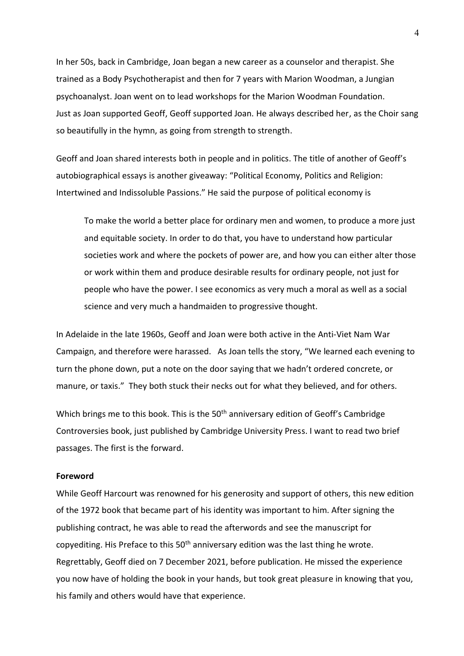In her 50s, back in Cambridge, Joan began a new career as a counselor and therapist. She trained as a Body Psychotherapist and then for 7 years with Marion Woodman, a Jungian psychoanalyst. Joan went on to lead workshops for the Marion Woodman Foundation. Just as Joan supported Geoff, Geoff supported Joan. He always described her, as the Choir sang so beautifully in the hymn, as going from strength to strength.

Geoff and Joan shared interests both in people and in politics. The title of another of Geoff's autobiographical essays is another giveaway: "Political Economy, Politics and Religion: Intertwined and Indissoluble Passions." He said the purpose of political economy is

To make the world a better place for ordinary men and women, to produce a more just and equitable society. In order to do that, you have to understand how particular societies work and where the pockets of power are, and how you can either alter those or work within them and produce desirable results for ordinary people, not just for people who have the power. I see economics as very much a moral as well as a social science and very much a handmaiden to progressive thought.

In Adelaide in the late 1960s, Geoff and Joan were both active in the Anti-Viet Nam War Campaign, and therefore were harassed. As Joan tells the story, "We learned each evening to turn the phone down, put a note on the door saying that we hadn't ordered concrete, or manure, or taxis." They both stuck their necks out for what they believed, and for others.

Which brings me to this book. This is the 50<sup>th</sup> anniversary edition of Geoff's Cambridge Controversies book, just published by Cambridge University Press. I want to read two brief passages. The first is the forward.

# **Foreword**

While Geoff Harcourt was renowned for his generosity and support of others, this new edition of the 1972 book that became part of his identity was important to him. After signing the publishing contract, he was able to read the afterwords and see the manuscript for copyediting. His Preface to this  $50<sup>th</sup>$  anniversary edition was the last thing he wrote. Regrettably, Geoff died on 7 December 2021, before publication. He missed the experience you now have of holding the book in your hands, but took great pleasure in knowing that you, his family and others would have that experience.